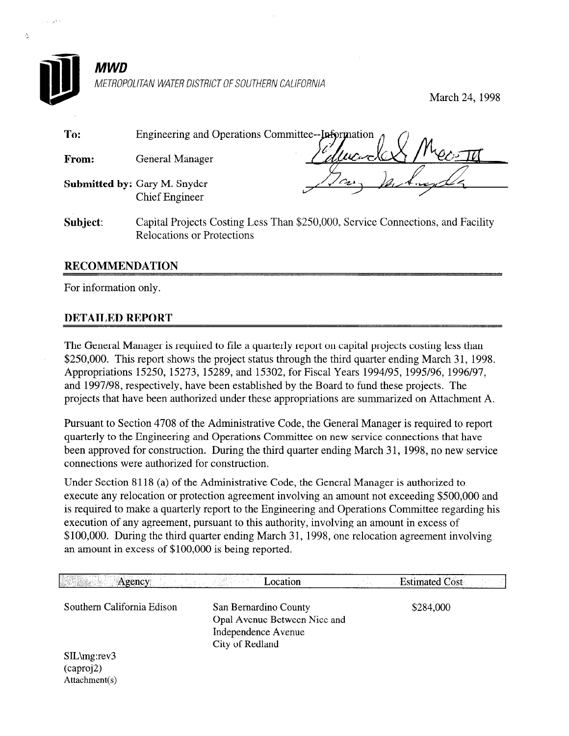

Š.

### MWD METROPOLITAN WATER DISTRICT OF SOUTHERN CALIFORNIA

Relocations or Protections

March 24, 1998

| To:                  | Engineering and Operations Committee-- $\mu$ formation $\Lambda$                |              |  |
|----------------------|---------------------------------------------------------------------------------|--------------|--|
| <b>From:</b>         | General Manager                                                                 | SellecodeX1. |  |
|                      | <b>Submitted by: Gary M. Snyder</b>                                             |              |  |
|                      | <b>Chief Engineer</b>                                                           |              |  |
| Subiect <sup>.</sup> | Capital Projects Costing Less Than \$250,000. Service Connections, and Facility |              |  |

#### RECOMMENDATION

For information only.

#### DETAILED REPORT

The General Manager is required to file a quarterly report on capital projects costing less than \$250,000. This report shows the project status through the third quarter ending March 31, 1998. Appropriations 15250, 15273, 15289, and 15302, for Fiscal Years 1994/95, 1995/96, 1996/97, and 1997/98, respectively, have been established by the Board to fund these projects. The projects that have been authorized under these appropriations are summarized on Attachment A.

Pursuant to Section 4708 of the Administrative Code, the General Manager is required to report quarterly to the Engineering and Operations Committee on new service connections that have been approved for construction. During the third quarter ending March 31, 1998, no new service connections were authorized for construction.

Under Section 8 118 (a) of the Administrative Code, the General Manager is authorized to execute any relocation or protection agreement involving an amount not exceeding \$500,000 and is required to make a quarterly report to the Engineering and Operations Committee regarding his execution of any agreement, pursuant to this authority, involving an amount in excess of \$100,000. During the third quarter ending March 31, 1998, one relocation agreement involving an amount in excess of \$100,000 is being reported.

| Agency                                          | 241 M J J<br>Location                                                                           | <b>Estimated Cost</b> |
|-------------------------------------------------|-------------------------------------------------------------------------------------------------|-----------------------|
| Southern California Edison                      | San Bernardino County<br>Opal Avenue Between Nice and<br>Independence Avenue<br>City of Redland | \$284,000             |
| $SL\omega$ : rev3<br>(caproj2)<br>Attachment(s) |                                                                                                 |                       |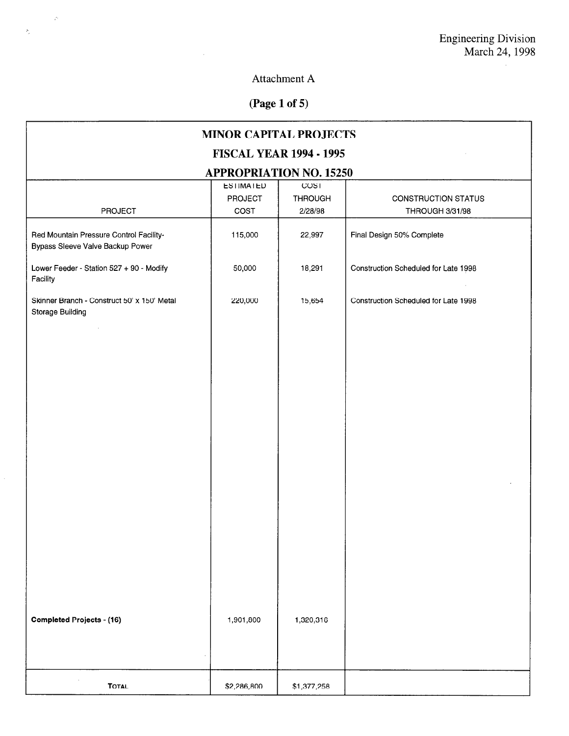## Attachment A

## (Page 1 of 5)

 $\sim$   $\omega$ 

 $\frac{1}{2}$ 

| <b>MINOR CAPITAL PROJECTS</b>                                               |                  |                |                                      |  |  |
|-----------------------------------------------------------------------------|------------------|----------------|--------------------------------------|--|--|
| <b>FISCAL YEAR 1994 - 1995</b>                                              |                  |                |                                      |  |  |
| <b>APPROPRIATION NO. 15250</b>                                              |                  |                |                                      |  |  |
|                                                                             | <b>ESTIMATED</b> | COST           |                                      |  |  |
|                                                                             | <b>PROJECT</b>   | <b>THROUGH</b> | CONSTRUCTION STATUS                  |  |  |
| <b>PROJECT</b>                                                              | COST             | 2/28/98        | THROUGH 3/31/98                      |  |  |
| Red Mountain Pressure Control Facility-<br>Bypass Sleeve Valve Backup Power | 115,000          | 22,997         | Final Design 50% Complete            |  |  |
| Lower Feeder - Station 527 + 90 - Modify<br>Facility                        | 50,000           | 18,291         | Construction Scheduled for Late 1998 |  |  |
| Skinner Branch - Construct 50' x 150' Metal<br><b>Storage Building</b>      | 220,000          | 15,654         | Construction Scheduled for Late 1998 |  |  |
| $\epsilon$                                                                  |                  |                |                                      |  |  |
|                                                                             |                  |                |                                      |  |  |
|                                                                             |                  |                |                                      |  |  |
|                                                                             |                  |                |                                      |  |  |
|                                                                             |                  |                |                                      |  |  |
|                                                                             |                  |                |                                      |  |  |
|                                                                             |                  |                |                                      |  |  |
|                                                                             |                  |                |                                      |  |  |
|                                                                             |                  |                |                                      |  |  |
|                                                                             |                  |                |                                      |  |  |
|                                                                             |                  |                |                                      |  |  |
|                                                                             |                  |                |                                      |  |  |
|                                                                             |                  |                |                                      |  |  |
|                                                                             |                  |                |                                      |  |  |
|                                                                             |                  |                |                                      |  |  |
| <b>Completed Projects - (16)</b>                                            | 1,901,800        | 1,320,316      |                                      |  |  |
|                                                                             |                  |                |                                      |  |  |
|                                                                             |                  |                |                                      |  |  |
| <b>TOTAL</b>                                                                | \$2,286,800      | \$1,377,258    |                                      |  |  |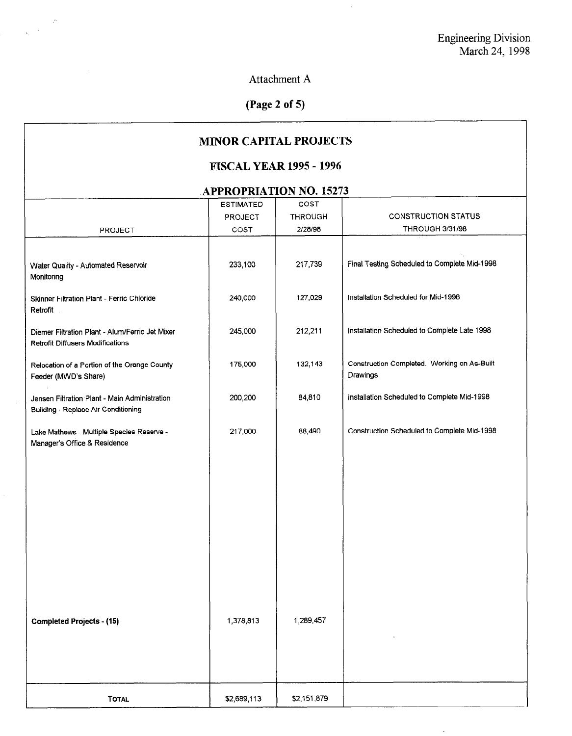$\bar{\mathcal{A}}$ 

Attachment A

 $\sim$ 

 $\hat{\mathcal{L}}$ 

 $\sim$   $\sim$ 

 $\sim$ 

# (Page 2 of 5)

| <b>MINOR CAPITAL PROJECTS</b>                                                              |                  |                           |                                                         |  |
|--------------------------------------------------------------------------------------------|------------------|---------------------------|---------------------------------------------------------|--|
| <b>FISCAL YEAR 1995 - 1996</b>                                                             |                  |                           |                                                         |  |
| <b>APPROPRIATION NO. 15273</b>                                                             |                  |                           |                                                         |  |
|                                                                                            | <b>ESTIMATED</b> | COST                      |                                                         |  |
|                                                                                            | PROJECT          | <b>THROUGH</b><br>2/28/98 | <b>CONSTRUCTION STATUS</b>                              |  |
| <b>PROJECT</b>                                                                             | COST             |                           | <b>THROUGH 3/31/98</b>                                  |  |
| Water Quality - Automated Reservoir<br>Monitoring                                          | 233,100          | 217,739                   | Final Testing Scheduled to Complete Mid-1998            |  |
| Skinner Filtration Plant - Ferric Chloride<br>Retrofit                                     | 240,000          | 127,029                   | Installation Scheduled for Mid-1998                     |  |
| Diemer Filtration Plant - Alum/Ferric Jet Mixer<br><b>Retrofit Diffusers Modifications</b> | 245,000          | 212,211                   | Installation Scheduled to Complete Late 1998            |  |
| Relocation of a Portion of the Orange County<br>Feeder (MWD's Share)                       | 175,000          | 132,143                   | Construction Completed. Working on As-Built<br>Drawings |  |
| Jensen Filtration Plant - Main Administration<br>Building - Replace Air Conditioning       | 200,200          | 84,810                    | Installation Scheduled to Complete Mid-1998             |  |
| Lake Mathews - Multiple Species Reserve -<br>Manager's Office & Residence                  | 217,000          | 88,490                    | Construction Scheduled to Complete Mid-1998             |  |
|                                                                                            |                  |                           |                                                         |  |
|                                                                                            |                  |                           |                                                         |  |
|                                                                                            |                  |                           |                                                         |  |
|                                                                                            |                  |                           |                                                         |  |
|                                                                                            |                  |                           |                                                         |  |
|                                                                                            |                  |                           |                                                         |  |
|                                                                                            |                  |                           |                                                         |  |
|                                                                                            |                  |                           |                                                         |  |
|                                                                                            |                  |                           |                                                         |  |
| <b>Completed Projects - (15)</b>                                                           | 1,378,813        | 1,289,457                 |                                                         |  |
|                                                                                            |                  |                           |                                                         |  |
|                                                                                            |                  |                           |                                                         |  |
|                                                                                            |                  |                           |                                                         |  |
| <b>TOTAL</b>                                                                               | \$2,689,113      | \$2,151,879               |                                                         |  |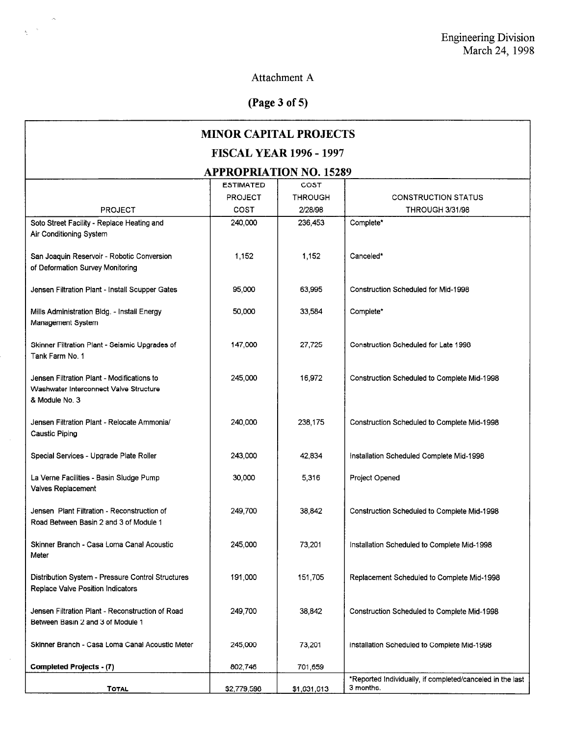## Attachment A

# (Page 3 of 5)

 $\frac{1}{N}$  ,  $\frac{1}{N}$ 

 $\hat{\boldsymbol{\beta}}$ 

| <b>MINOR CAPITAL PROJECTS</b>                                                                          |                  |                |                                                                        |  |
|--------------------------------------------------------------------------------------------------------|------------------|----------------|------------------------------------------------------------------------|--|
| <b>FISCAL YEAR 1996 - 1997</b>                                                                         |                  |                |                                                                        |  |
| <b>APPROPRIATION NO. 15289</b>                                                                         |                  |                |                                                                        |  |
|                                                                                                        | <b>ESTIMATED</b> | COST           |                                                                        |  |
|                                                                                                        | <b>PROJECT</b>   | <b>THROUGH</b> | <b>CONSTRUCTION STATUS</b>                                             |  |
| <b>PROJECT</b>                                                                                         | COST             | 2/28/98        | <b>THROUGH 3/31/98</b>                                                 |  |
| Soto Street Facility - Replace Heating and<br>Air Conditioning System                                  | 240,000          | 236,453        | Complete*                                                              |  |
| San Joaquin Reservoir - Robotic Conversion<br>of Deformation Survey Monitoring                         | 1,152            | 1,152          | Canceled*                                                              |  |
| Jensen Filtration Plant - Install Scupper Gates                                                        | 95,000           | 63,995         | Construction Scheduled for Mid-1998                                    |  |
| Mills Administration Bldg. - Install Energy<br>Management System                                       | 50,000           | 33,584         | Complete*                                                              |  |
| Skinner Filtration Plant - Seismic Upgrades of<br>Tank Farm No. 1                                      | 147,000          | 27.725         | Construction Scheduled for Late 1998                                   |  |
| Jensen Filtration Plant - Modifications to<br>Washwater Interconnect Valve Structure<br>& Module No. 3 | 245,000          | 16,972         | Construction Scheduled to Complete Mid-1998                            |  |
| Jensen Filtration Plant - Relocate Ammonia/<br><b>Caustic Piping</b>                                   | 240,000          | 238,175        | Construction Scheduled to Complete Mid-1998                            |  |
| Special Services - Upgrade Plate Roller                                                                | 243,000          | 42,834         | Installation Scheduled Complete Mid-1998                               |  |
| La Verne Facilities - Basin Sludge Pump<br>Valves Replacement                                          | 30,000           | 5,316          | Project Opened                                                         |  |
| Jensen Plant Filtration - Reconstruction of<br>Road Between Basin 2 and 3 of Module 1                  | 249,700          | 38,842         | Construction Scheduled to Complete Mid-1998                            |  |
| Skinner Branch - Casa Loma Canal Acoustic<br>Meter                                                     | 245,000          | 73,201         | Installation Scheduled to Complete Mid-1998                            |  |
| Distribution System - Pressure Control Structures<br>Replace Valve Position Indicators                 | 191,000          | 151,705        | Replacement Scheduled to Complete Mid-1998                             |  |
| Jensen Filtration Plant - Reconstruction of Road<br>Between Basin 2 and 3 of Module 1                  | 249,700          | 38,842         | Construction Scheduled to Complete Mid-1998                            |  |
| Skinner Branch - Casa Loma Canal Acoustic Meter                                                        | 245,000          | 73,201         | installation Scheduled to Complete Mid-1998                            |  |
| <b>Completed Projects - (7)</b>                                                                        | 802,746          | 701,659        |                                                                        |  |
| <b>TOTAL</b>                                                                                           | \$2.779.598      | \$1,631,613    | *Reported Individually, if completed/canceled in the last<br>3 months. |  |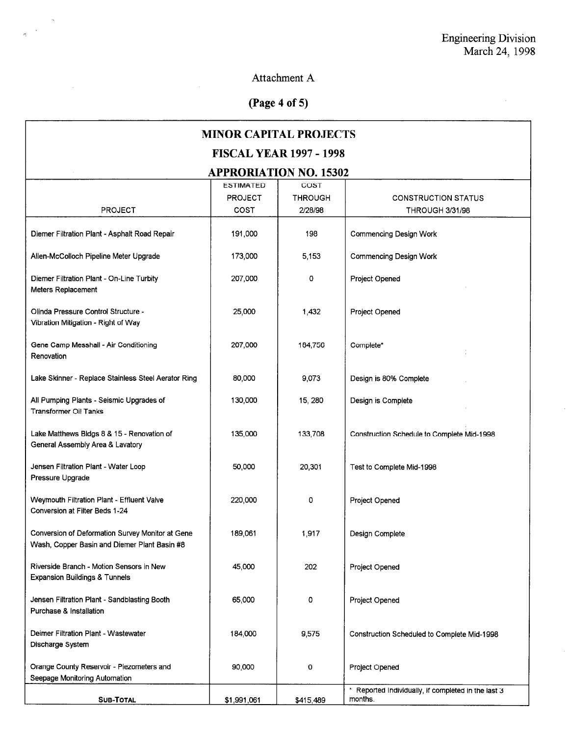$\mathcal{L}^{(1)}$ 

 $\alpha$ 

## Attachment A

# (Page 4 of 5)

 $\mathcal{L}_{\mathcal{A}}$ 

 $\rightarrow$  $\mathbb{R}^2$ 

 $\mathcal{L}^{\mathcal{L}}$ 

| <b>MINOR CAPITAL PROJECTS</b>                                                                    |                  |                |                                                                |  |  |
|--------------------------------------------------------------------------------------------------|------------------|----------------|----------------------------------------------------------------|--|--|
| <b>FISCAL YEAR 1997 - 1998</b>                                                                   |                  |                |                                                                |  |  |
| <b>APPRORIATION NO. 15302</b>                                                                    |                  |                |                                                                |  |  |
|                                                                                                  | <b>ESTIMATED</b> | COST           |                                                                |  |  |
|                                                                                                  | <b>PROJECT</b>   | <b>THROUGH</b> | <b>CONSTRUCTION STATUS</b>                                     |  |  |
| <b>PROJECT</b>                                                                                   | COST             | 2/28/98        | <b>THROUGH 3/31/98</b>                                         |  |  |
| Diemer Filtration Plant - Asphalt Road Repair                                                    | 191,000          | 198            | <b>Commencing Design Work</b>                                  |  |  |
| Allen-McColloch Pipeline Meter Upgrade                                                           | 173,000          | 5,153          | <b>Commencing Design Work</b>                                  |  |  |
| Diemer Filtration Plant - On-Line Turbity<br>Meters Replacement                                  | 207,000          | 0              | Project Opened                                                 |  |  |
| Olinda Pressure Control Structure -<br>Vibration Mitigation - Right of Way                       | 25,000           | 1,432          | Project Opened                                                 |  |  |
| Gene Camp Messhall - Air Conditioning<br>Renovation                                              | 207,000          | 184,756        | Complete*                                                      |  |  |
| Lake Skinner - Replace Stainless Steel Aerator Ring                                              | 80,000           | 9,073          | Design is 80% Complete                                         |  |  |
| All Pumping Plants - Seismic Upgrades of<br><b>Transformer Oil Tanks</b>                         | 130,000          | 15, 280        | Design is Complete                                             |  |  |
| Lake Matthews Bidgs 8 & 15 - Renovation of<br>General Assembly Area & Lavatory                   | 135,000          | 133,708        | Construction Schedule to Complete Mid-1998                     |  |  |
| Jensen Filtration Plant - Water Loop<br>Pressure Upgrade                                         | 50,000           | 20,301         | Test to Complete Mid-1998                                      |  |  |
| Weymouth Filtration Plant - Effluent Valve<br>Conversion at Filter Beds 1-24                     | 220,000          | 0              | Project Opened                                                 |  |  |
| Conversion of Deformation Survey Monitor at Gene<br>Wash, Copper Basin and Diemer Plant Basin #8 | 189,061          | 1,917          | Design Complete                                                |  |  |
| Riverside Branch - Motion Sensors in New<br><b>Expansion Buildings &amp; Tunnels</b>             | 45,000           | 202            | Project Opened                                                 |  |  |
| Jensen Filtration Plant - Sandblasting Booth<br>Purchase & Installation                          | 65,000           | 0              | Project Opened                                                 |  |  |
| Deimer Filtration Plant - Wastewater<br>Discharge System                                         | 184,000          | 9,575          | Construction Scheduled to Complete Mid-1998                    |  |  |
| Orange County Reservoir - Piezometers and<br>Seepage Monitoring Automation                       | 90,000           | 0              | Project Opened                                                 |  |  |
| <b>SUB-TOTAL</b>                                                                                 | \$1,991,061      | \$415,489      | * Reported Individually, if completed in the last 3<br>months. |  |  |